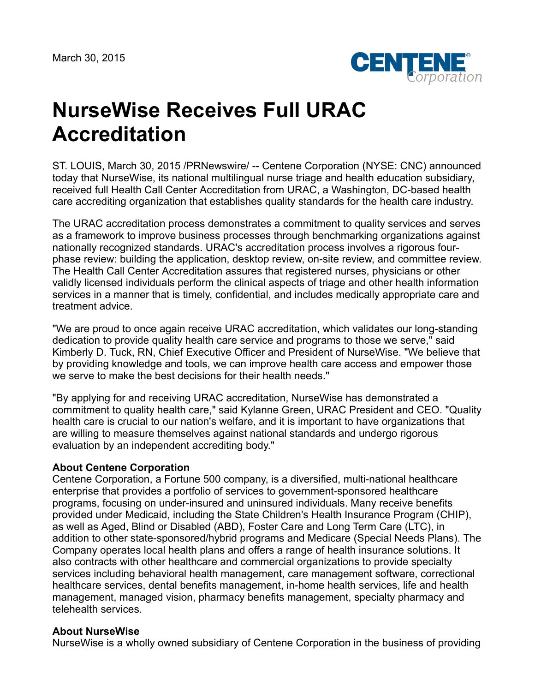

## **NurseWise Receives Full URAC Accreditation**

ST. LOUIS, March 30, 2015 /PRNewswire/ -- Centene Corporation (NYSE: CNC) announced today that NurseWise, its national multilingual nurse triage and health education subsidiary, received full Health Call Center Accreditation from URAC, a Washington, DC-based health care accrediting organization that establishes quality standards for the health care industry.

The URAC accreditation process demonstrates a commitment to quality services and serves as a framework to improve business processes through benchmarking organizations against nationally recognized standards. URAC's accreditation process involves a rigorous fourphase review: building the application, desktop review, on-site review, and committee review. The Health Call Center Accreditation assures that registered nurses, physicians or other validly licensed individuals perform the clinical aspects of triage and other health information services in a manner that is timely, confidential, and includes medically appropriate care and treatment advice.

"We are proud to once again receive URAC accreditation, which validates our long-standing dedication to provide quality health care service and programs to those we serve," said Kimberly D. Tuck, RN, Chief Executive Officer and President of NurseWise. "We believe that by providing knowledge and tools, we can improve health care access and empower those we serve to make the best decisions for their health needs."

"By applying for and receiving URAC accreditation, NurseWise has demonstrated a commitment to quality health care," said Kylanne Green, URAC President and CEO. "Quality health care is crucial to our nation's welfare, and it is important to have organizations that are willing to measure themselves against national standards and undergo rigorous evaluation by an independent accrediting body."

## **About Centene Corporation**

Centene Corporation, a Fortune 500 company, is a diversified, multi-national healthcare enterprise that provides a portfolio of services to government-sponsored healthcare programs, focusing on under-insured and uninsured individuals. Many receive benefits provided under Medicaid, including the State Children's Health Insurance Program (CHIP), as well as Aged, Blind or Disabled (ABD), Foster Care and Long Term Care (LTC), in addition to other state-sponsored/hybrid programs and Medicare (Special Needs Plans). The Company operates local health plans and offers a range of health insurance solutions. It also contracts with other healthcare and commercial organizations to provide specialty services including behavioral health management, care management software, correctional healthcare services, dental benefits management, in-home health services, life and health management, managed vision, pharmacy benefits management, specialty pharmacy and telehealth services.

## **About NurseWise**

NurseWise is a wholly owned subsidiary of Centene Corporation in the business of providing